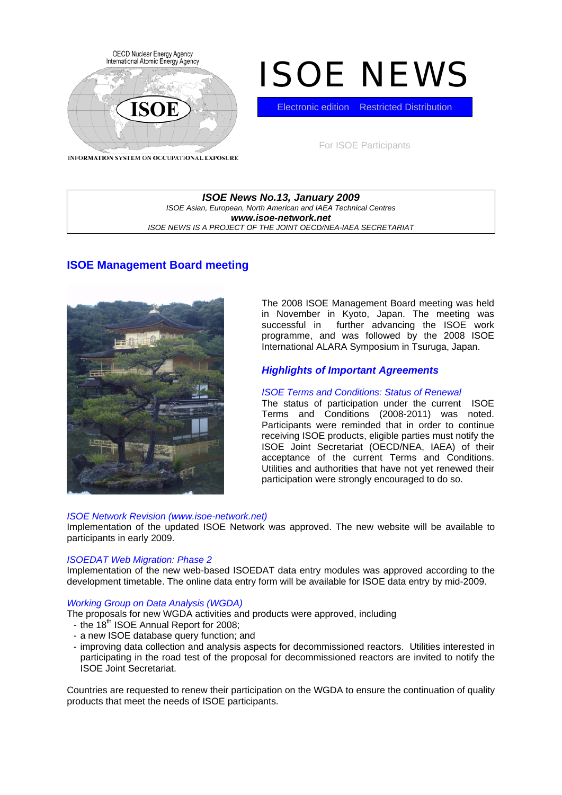

# ISOE NEWS

Electronic edition Restricted Distribution

For ISOE Participants

INFORMATION SYSTEM ON OCCUPATIONAL EXPOSURE

#### *ISOE News No.13, January 2009 ISOE Asian, European, North American and IAEA Technical Centres www.isoe-network.net ISOE NEWS IS A PROJECT OF THE JOINT OECD/NEA-IAEA SECRETARIAT*

# **ISOE Management Board meeting**



The 2008 ISOE Management Board meeting was held in November in Kyoto, Japan. The meeting was successful in further advancing the ISOE work programme, and was followed by the 2008 ISOE International ALARA Symposium in Tsuruga, Japan.

# *Highlights of Important Agreements*

## *ISOE Terms and Conditions: Status of Renewal*

The status of participation under the current ISOE Terms and Conditions (2008-2011) was noted. Participants were reminded that in order to continue receiving ISOE products, eligible parties must notify the ISOE Joint Secretariat (OECD/NEA, IAEA) of their acceptance of the current Terms and Conditions. Utilities and authorities that have not yet renewed their participation were strongly encouraged to do so.

#### *ISOE Network Revision (www.isoe-network.net)*

Implementation of the updated ISOE Network was approved. The new website will be available to participants in early 2009.

## *ISOEDAT Web Migration: Phase 2*

Implementation of the new web-based ISOEDAT data entry modules was approved according to the development timetable. The online data entry form will be available for ISOE data entry by mid-2009.

## *Working Group on Data Analysis (WGDA)*

The proposals for new WGDA activities and products were approved, including

- the 18<sup>th</sup> ISOE Annual Report for 2008;
- a new ISOE database query function; and
- improving data collection and analysis aspects for decommissioned reactors. Utilities interested in participating in the road test of the proposal for decommissioned reactors are invited to notify the ISOE Joint Secretariat.

Countries are requested to renew their participation on the WGDA to ensure the continuation of quality products that meet the needs of ISOE participants.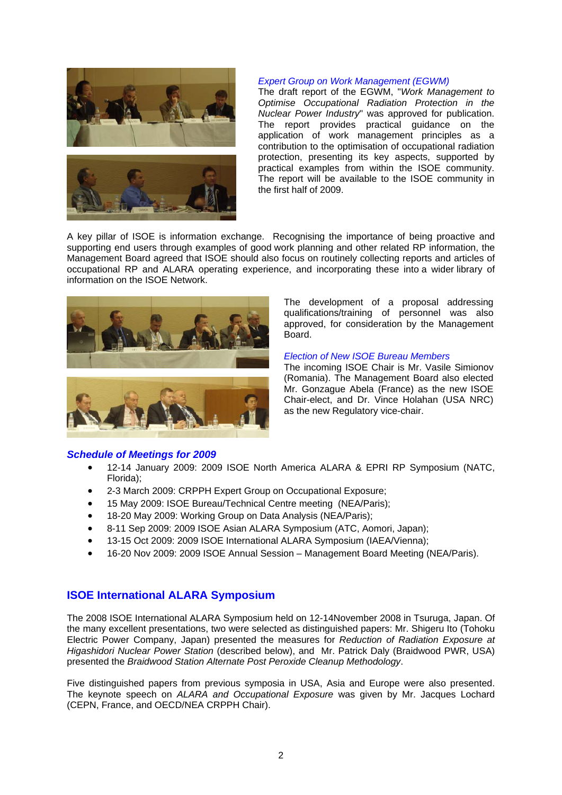



#### *Expert Group on Work Management (EGWM)*

The draft report of the EGWM, "*Work Management to Optimise Occupational Radiation Protection in the Nuclear Power Industry*" was approved for publication. The report provides practical guidance on the application of work management principles as a contribution to the optimisation of occupational radiation protection, presenting its key aspects, supported by practical examples from within the ISOE community. The report will be available to the ISOE community in the first half of 2009.

A key pillar of ISOE is information exchange. Recognising the importance of being proactive and supporting end users through examples of good work planning and other related RP information, the Management Board agreed that ISOE should also focus on routinely collecting reports and articles of occupational RP and ALARA operating experience, and incorporating these into a wider library of information on the ISOE Network.





#### *Schedule of Meetings for 2009*

The development of a proposal addressing qualifications/training of personnel was also approved, for consideration by the Management Board.

#### *Election of New ISOE Bureau Members*

The incoming ISOE Chair is Mr. Vasile Simionov (Romania). The Management Board also elected Mr. Gonzague Abela (France) as the new ISOE Chair-elect, and Dr. Vince Holahan (USA NRC) as the new Regulatory vice-chair.

- 12-14 January 2009: 2009 ISOE North America ALARA & EPRI RP Symposium (NATC, Florida);
- 2-3 March 2009: CRPPH Expert Group on Occupational Exposure;
- 15 May 2009: ISOE Bureau/Technical Centre meeting (NEA/Paris);
- 18-20 May 2009: Working Group on Data Analysis (NEA/Paris);
- 8-11 Sep 2009: 2009 ISOE Asian ALARA Symposium (ATC, Aomori, Japan);
- 13-15 Oct 2009: 2009 ISOE International ALARA Symposium (IAEA/Vienna);
- 16-20 Nov 2009: 2009 ISOE Annual Session Management Board Meeting (NEA/Paris).

## **ISOE International ALARA Symposium**

The 2008 ISOE International ALARA Symposium held on 12-14November 2008 in Tsuruga, Japan. Of the many excellent presentations, two were selected as distinguished papers: Mr. Shigeru Ito (Tohoku Electric Power Company, Japan) presented the measures for *Reduction of Radiation Exposure at Higashidori Nuclear Power Station* (described below), and Mr. Patrick Daly (Braidwood PWR, USA) presented the *Braidwood Station Alternate Post Peroxide Cleanup Methodology*.

Five distinguished papers from previous symposia in USA, Asia and Europe were also presented. The keynote speech on *ALARA and Occupational Exposure* was given by Mr. Jacques Lochard (CEPN, France, and OECD/NEA CRPPH Chair).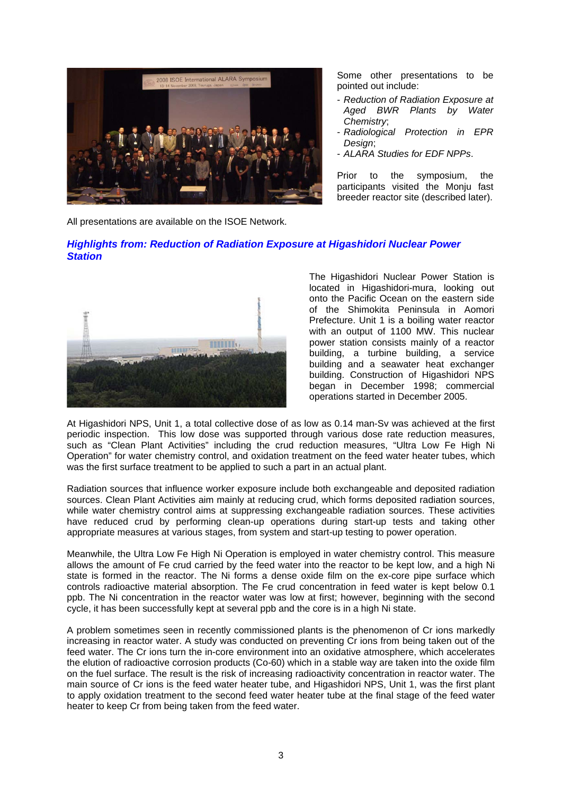

Some other presentations to be pointed out include:

- *Reduction of Radiation Exposure at Aged BWR Plants by Water Chemistry*;
- *Radiological Protection in EPR Design*;
- *ALARA Studies for EDF NPPs*.

Prior to the symposium, the participants visited the Monju fast breeder reactor site (described later).

All presentations are available on the ISOE Network.

## *Highlights from: Reduction of Radiation Exposure at Higashidori Nuclear Power Station*



The Higashidori Nuclear Power Station is located in Higashidori-mura, looking out onto the Pacific Ocean on the eastern side of the Shimokita Peninsula in Aomori Prefecture. Unit 1 is a boiling water reactor with an output of 1100 MW. This nuclear power station consists mainly of a reactor building, a turbine building, a service building and a seawater heat exchanger building. Construction of Higashidori NPS began in December 1998; commercial operations started in December 2005.

At Higashidori NPS, Unit 1, a total collective dose of as low as 0.14 man-Sv was achieved at the first periodic inspection. This low dose was supported through various dose rate reduction measures, such as "Clean Plant Activities" including the crud reduction measures, "Ultra Low Fe High Ni Operation" for water chemistry control, and oxidation treatment on the feed water heater tubes, which was the first surface treatment to be applied to such a part in an actual plant.

Radiation sources that influence worker exposure include both exchangeable and deposited radiation sources. Clean Plant Activities aim mainly at reducing crud, which forms deposited radiation sources, while water chemistry control aims at suppressing exchangeable radiation sources. These activities have reduced crud by performing clean-up operations during start-up tests and taking other appropriate measures at various stages, from system and start-up testing to power operation.

Meanwhile, the Ultra Low Fe High Ni Operation is employed in water chemistry control. This measure allows the amount of Fe crud carried by the feed water into the reactor to be kept low, and a high Ni state is formed in the reactor. The Ni forms a dense oxide film on the ex-core pipe surface which controls radioactive material absorption. The Fe crud concentration in feed water is kept below 0.1 ppb. The Ni concentration in the reactor water was low at first; however, beginning with the second cycle, it has been successfully kept at several ppb and the core is in a high Ni state.

A problem sometimes seen in recently commissioned plants is the phenomenon of Cr ions markedly increasing in reactor water. A study was conducted on preventing Cr ions from being taken out of the feed water. The Cr ions turn the in-core environment into an oxidative atmosphere, which accelerates the elution of radioactive corrosion products (Co-60) which in a stable way are taken into the oxide film on the fuel surface. The result is the risk of increasing radioactivity concentration in reactor water. The main source of Cr ions is the feed water heater tube, and Higashidori NPS, Unit 1, was the first plant to apply oxidation treatment to the second feed water heater tube at the final stage of the feed water heater to keep Cr from being taken from the feed water.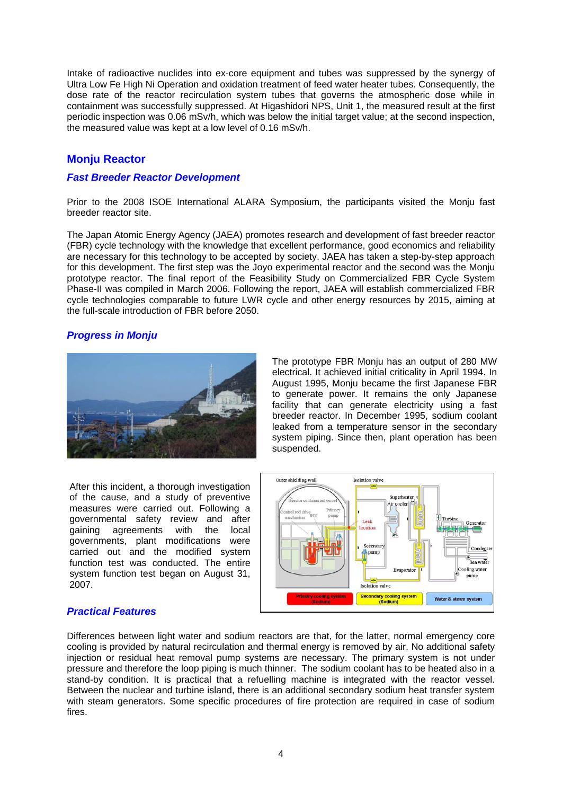Intake of radioactive nuclides into ex-core equipment and tubes was suppressed by the synergy of Ultra Low Fe High Ni Operation and oxidation treatment of feed water heater tubes. Consequently, the dose rate of the reactor recirculation system tubes that governs the atmospheric dose while in containment was successfully suppressed. At Higashidori NPS, Unit 1, the measured result at the first periodic inspection was 0.06 mSv/h, which was below the initial target value; at the second inspection, the measured value was kept at a low level of 0.16 mSv/h.

# **Monju Reactor**

### *Fast Breeder Reactor Development*

Prior to the 2008 ISOE International ALARA Symposium, the participants visited the Monju fast breeder reactor site.

The Japan Atomic Energy Agency (JAEA) promotes research and development of fast breeder reactor (FBR) cycle technology with the knowledge that excellent performance, good economics and reliability are necessary for this technology to be accepted by society. JAEA has taken a step-by-step approach for this development. The first step was the Joyo experimental reactor and the second was the Monju prototype reactor. The final report of the Feasibility Study on Commercialized FBR Cycle System Phase-II was compiled in March 2006. Following the report, JAEA will establish commercialized FBR cycle technologies comparable to future LWR cycle and other energy resources by 2015, aiming at the full-scale introduction of FBR before 2050.

## *Progress in Monju*



After this incident, a thorough investigation of the cause, and a study of preventive measures were carried out. Following a governmental safety review and after gaining agreements with the local governments, plant modifications were carried out and the modified system function test was conducted. The entire system function test began on August 31, 2007.

The prototype FBR Monju has an output of 280 MW electrical. It achieved initial criticality in April 1994. In August 1995, Monju became the first Japanese FBR to generate power. It remains the only Japanese facility that can generate electricity using a fast breeder reactor. In December 1995, sodium coolant leaked from a temperature sensor in the secondary system piping. Since then, plant operation has been suspended.



#### *Practical Features*

Differences between light water and sodium reactors are that, for the latter, normal emergency core cooling is provided by natural recirculation and thermal energy is removed by air. No additional safety injection or residual heat removal pump systems are necessary. The primary system is not under pressure and therefore the loop piping is much thinner. The sodium coolant has to be heated also in a stand-by condition. It is practical that a refuelling machine is integrated with the reactor vessel. Between the nuclear and turbine island, there is an additional secondary sodium heat transfer system with steam generators. Some specific procedures of fire protection are required in case of sodium fires.